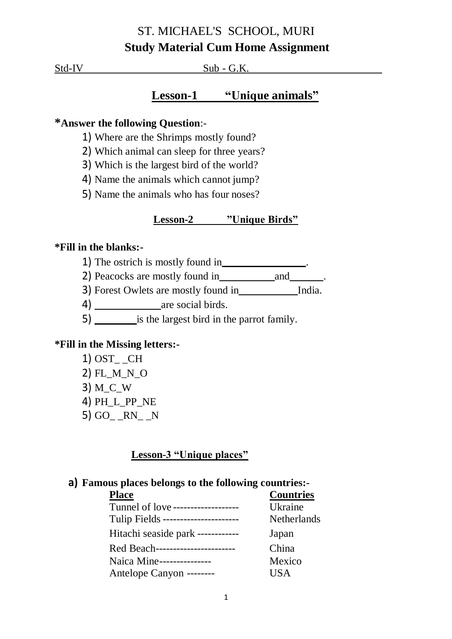# ST. MICHAEL'S SCHOOL, MURI **Study Material Cum Home Assignment**

Std-IV Sub - G.K.

## **Lesson-1 "Unique animals"**

## **\*Answer the following Question**:-

- 1) Where are the Shrimps mostly found?
- 2) Which animal can sleep for three years?
- 3) Which is the largest bird of the world?
- 4) Name the animals which cannot jump?
- 5) Name the animals who has four noses?

### **Lesson-2 "Unique Birds"**

#### **\*Fill in the blanks:-**

1) The ostrich is mostly found in .

2) Peacocks are mostly found in \_\_\_\_\_\_\_\_\_\_\_\_\_\_\_\_\_\_\_\_\_\_.

3) Forest Owlets are mostly found in India.

4) are social birds.

5) is the largest bird in the parrot family.

### **\*Fill in the Missing letters:-**

- 1) OST\_ \_CH
- 2) FL\_M\_N\_O
- 3) M\_C\_W
- 4) PH\_L\_PP\_NE
- 5) GO\_ \_RN\_ \_N

### **Lesson-3 "Unique places"**

### **a) Famous places belongs to the following countries:-**

| <b>Place</b>                         | <b>Countries</b>   |
|--------------------------------------|--------------------|
| Tunnel of love --------------------  | Ukraine            |
| Tulip Fields ----------------------- | <b>Netherlands</b> |
| Hitachi seaside park ------------    | Japan              |
| Red Beach-----------------------     | China              |
| Naica Mine---------------            | Mexico             |
| Antelope Canyon --------             | <b>USA</b>         |